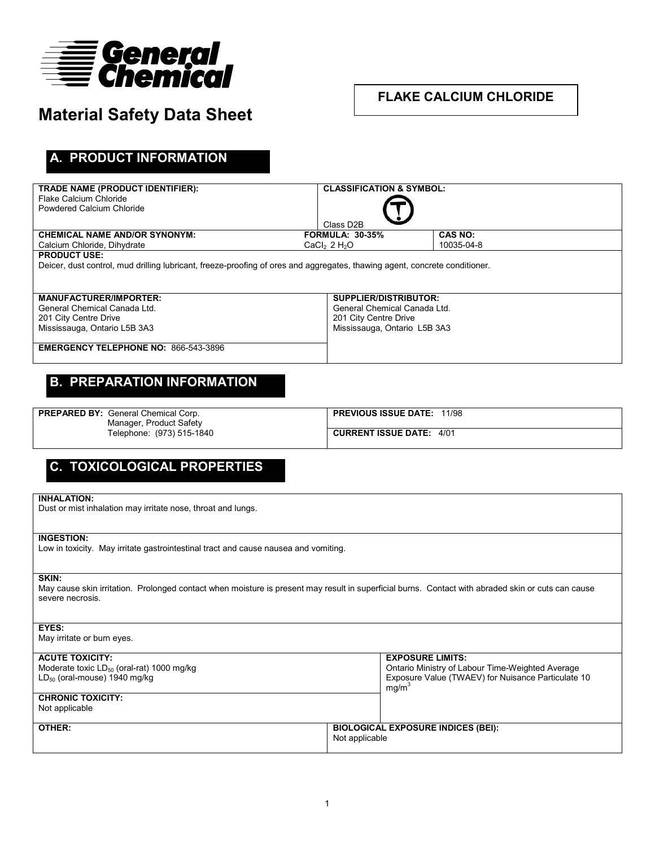

## **FLAKE CALCIUM CHLORIDE**

# **Material Safety Data Sheet**

# **A. PRODUCT INFORMATION**

| TRADE NAME (PRODUCT IDENTIFIER):                                                                                           | <b>CLASSIFICATION &amp; SYMBOL:</b> |                |  |  |
|----------------------------------------------------------------------------------------------------------------------------|-------------------------------------|----------------|--|--|
| Flake Calcium Chloride                                                                                                     |                                     |                |  |  |
| Powdered Calcium Chloride                                                                                                  |                                     |                |  |  |
|                                                                                                                            |                                     |                |  |  |
|                                                                                                                            | Class D <sub>2</sub> B              |                |  |  |
| <b>CHEMICAL NAME AND/OR SYNONYM:</b>                                                                                       | <b>FORMULA: 30-35%</b>              | <b>CAS NO:</b> |  |  |
| Calcium Chloride, Dihydrate                                                                                                | CaCl <sub>2</sub> 2 $H_2O$          | 10035-04-8     |  |  |
| <b>PRODUCT USE:</b>                                                                                                        |                                     |                |  |  |
| Deicer, dust control, mud drilling lubricant, freeze-proofing of ores and aggregates, thawing agent, concrete conditioner. |                                     |                |  |  |
|                                                                                                                            |                                     |                |  |  |
|                                                                                                                            |                                     |                |  |  |
| <b>MANUFACTURER/IMPORTER:</b>                                                                                              | <b>SUPPLIER/DISTRIBUTOR:</b>        |                |  |  |
| General Chemical Canada Ltd.                                                                                               | General Chemical Canada Ltd.        |                |  |  |
|                                                                                                                            |                                     |                |  |  |
| 201 City Centre Drive                                                                                                      | 201 City Centre Drive               |                |  |  |
| Mississauga, Ontario L5B 3A3                                                                                               | Mississauga, Ontario L5B 3A3        |                |  |  |
|                                                                                                                            |                                     |                |  |  |
| <b>EMERGENCY TELEPHONE NO: 866-543-3896</b>                                                                                |                                     |                |  |  |
|                                                                                                                            |                                     |                |  |  |

# **B. PREPARATION INFORMATION**

| <b>PREPARED BY: General Chemical Corp.</b> | <b>PREVIOUS ISSUE DATE:</b><br>11/98 |
|--------------------------------------------|--------------------------------------|
| Manager, Product Safety                    |                                      |
| Telephone: (973) 515-1840                  | <b>CURRENT ISSUE DATE: 4/01</b>      |
|                                            |                                      |

## **C. TOXICOLOGICAL PROPERTIES**

#### **INHALATION:**

Dust or mist inhalation may irritate nose, throat and lungs.

#### **INGESTION:**

Low in toxicity. May irritate gastrointestinal tract and cause nausea and vomiting.

#### **SKIN:**

May cause skin irritation. Prolonged contact when moisture is present may result in superficial burns. Contact with abraded skin or cuts can cause severe necrosis.

|  | ×<br>۰. |  |  |
|--|---------|--|--|
|  |         |  |  |

| May irritate or burn eyes.                                                                                    |                                                                                                                                           |  |
|---------------------------------------------------------------------------------------------------------------|-------------------------------------------------------------------------------------------------------------------------------------------|--|
| <b>ACUTE TOXICITY:</b><br>Moderate toxic $LD_{50}$ (oral-rat) 1000 mg/kg<br>$LD_{50}$ (oral-mouse) 1940 mg/kg | <b>EXPOSURE LIMITS:</b><br>Ontario Ministry of Labour Time-Weighted Average<br>Exposure Value (TWAEV) for Nuisance Particulate 10<br>ma/m |  |
| <b>CHRONIC TOXICITY:</b><br>Not applicable                                                                    |                                                                                                                                           |  |
| OTHER:                                                                                                        | <b>BIOLOGICAL EXPOSURE INDICES (BEI):</b><br>Not applicable                                                                               |  |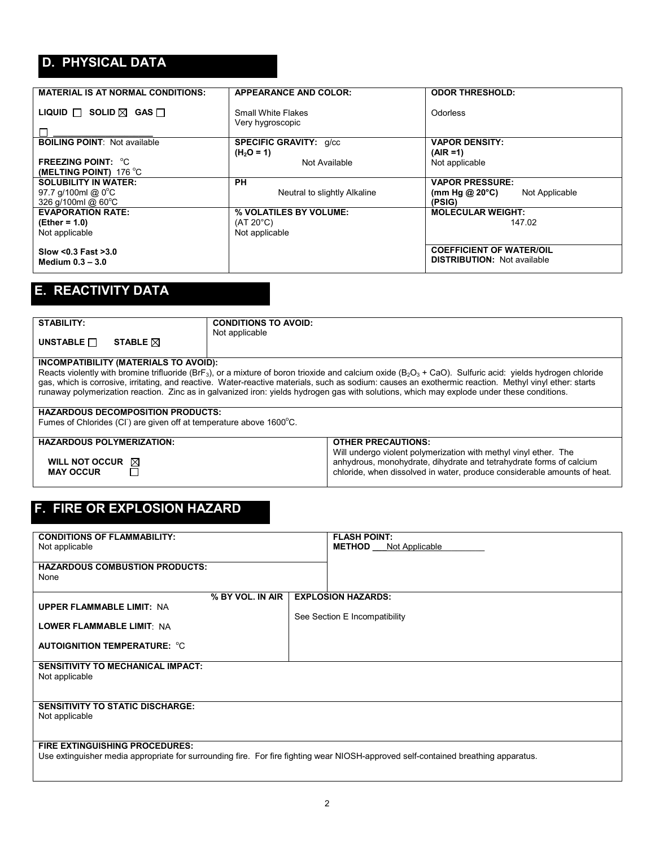# **D. PHYSICAL DATA**

| <b>MATERIAL IS AT NORMAL CONDITIONS:</b>   | <b>APPEARANCE AND COLOR:</b>  | <b>ODOR THRESHOLD:</b>                     |
|--------------------------------------------|-------------------------------|--------------------------------------------|
|                                            |                               |                                            |
| LIQUID $\Box$ Solid $\boxtimes$ GAS $\Box$ | <b>Small White Flakes</b>     | Odorless                                   |
|                                            |                               |                                            |
|                                            | Very hygroscopic              |                                            |
|                                            |                               |                                            |
| <b>BOILING POINT: Not available</b>        | <b>SPECIFIC GRAVITY: g/cc</b> | <b>VAPOR DENSITY:</b>                      |
|                                            | $(H2O = 1)$                   | $(AIR = 1)$                                |
| <b>FREEZING POINT: °C</b>                  | Not Available                 | Not applicable                             |
| (MELTING POINT) $176^{\circ}$ C            |                               |                                            |
| <b>SOLUBILITY IN WATER:</b>                | <b>PH</b>                     | <b>VAPOR PRESSURE:</b>                     |
| 97.7 $q/100$ ml @ 0 $^{\circ}$ C           | Neutral to slightly Alkaline  | Not Applicable<br>(mm Hg @ 20 $\degree$ C) |
| 326 g/100ml @ 60°C                         |                               | (PSIG)                                     |
| <b>EVAPORATION RATE:</b>                   | % VOLATILES BY VOLUME:        | <b>MOLECULAR WEIGHT:</b>                   |
| $(Ether = 1.0)$                            | $(AT 20^{\circ}C)$            | 147.02                                     |
| Not applicable                             | Not applicable                |                                            |
|                                            |                               |                                            |
|                                            |                               | <b>COEFFICIENT OF WATER/OIL</b>            |
| Slow <0.3 Fast >3.0                        |                               |                                            |
| Medium $0.3 - 3.0$                         |                               | <b>DISTRIBUTION:</b> Not available         |
|                                            |                               |                                            |

# **E. REACTIVITY DATA**

| <b>STABILITY:</b>                                                                                                                                                                                                                                                                                                                                        | <b>CONDITIONS TO AVOID:</b><br>Not applicable                            |  |  |
|----------------------------------------------------------------------------------------------------------------------------------------------------------------------------------------------------------------------------------------------------------------------------------------------------------------------------------------------------------|--------------------------------------------------------------------------|--|--|
| UNSTABLE <b>N</b><br>STABLE $\nabla$                                                                                                                                                                                                                                                                                                                     |                                                                          |  |  |
| INCOMPATIBILITY (MATERIALS TO AVOID):                                                                                                                                                                                                                                                                                                                    |                                                                          |  |  |
| Reacts violently with bromine trifluoride (BrF <sub>3</sub> ), or a mixture of boron trioxide and calcium oxide (B <sub>2</sub> O <sub>3</sub> + CaO). Sulfuric acid: yields hydrogen chloride<br>gas, which is corrosive, irritating, and reactive. Water-reactive materials, such as sodium: causes an exothermic reaction. Methyl vinyl ether: starts |                                                                          |  |  |
| runaway polymerization reaction. Zinc as in galvanized iron: yields hydrogen gas with solutions, which may explode under these conditions.                                                                                                                                                                                                               |                                                                          |  |  |
|                                                                                                                                                                                                                                                                                                                                                          |                                                                          |  |  |
| <b>HAZARDOUS DECOMPOSITION PRODUCTS:</b>                                                                                                                                                                                                                                                                                                                 |                                                                          |  |  |
| Fumes of Chlorides (CI) are given off at temperature above 1600°C.                                                                                                                                                                                                                                                                                       |                                                                          |  |  |
|                                                                                                                                                                                                                                                                                                                                                          |                                                                          |  |  |
| <b>HAZARDOUS POLYMERIZATION:</b>                                                                                                                                                                                                                                                                                                                         | <b>OTHER PRECAUTIONS:</b>                                                |  |  |
|                                                                                                                                                                                                                                                                                                                                                          | Will undergo violent polymerization with methyl vinyl ether. The         |  |  |
| WILL NOT OCCUR $\boxtimes$                                                                                                                                                                                                                                                                                                                               | anhydrous, monohydrate, dihydrate and tetrahydrate forms of calcium      |  |  |
| <b>MAY OCCUR</b>                                                                                                                                                                                                                                                                                                                                         | chloride, when dissolved in water, produce considerable amounts of heat. |  |  |
|                                                                                                                                                                                                                                                                                                                                                          |                                                                          |  |  |

# **F. FIRE OR EXPLOSION HAZARD**

| <b>CONDITIONS OF FLAMMABILITY:</b>                                                                                                 | <b>FLASH POINT:</b>           |
|------------------------------------------------------------------------------------------------------------------------------------|-------------------------------|
|                                                                                                                                    | <b>METHOD</b> Not Applicable  |
| Not applicable                                                                                                                     |                               |
|                                                                                                                                    |                               |
| <b>HAZARDOUS COMBUSTION PRODUCTS:</b>                                                                                              |                               |
|                                                                                                                                    |                               |
| None                                                                                                                               |                               |
|                                                                                                                                    |                               |
|                                                                                                                                    |                               |
| % BY VOL. IN AIR                                                                                                                   | <b>EXPLOSION HAZARDS:</b>     |
| <b>UPPER FLAMMABLE LIMIT: NA</b>                                                                                                   |                               |
|                                                                                                                                    |                               |
|                                                                                                                                    | See Section E Incompatibility |
| LOWER FLAMMABLE LIMIT: NA                                                                                                          |                               |
|                                                                                                                                    |                               |
|                                                                                                                                    |                               |
| <b>AUTOIGNITION TEMPERATURE: °C</b>                                                                                                |                               |
|                                                                                                                                    |                               |
|                                                                                                                                    |                               |
| <b>SENSITIVITY TO MECHANICAL IMPACT:</b>                                                                                           |                               |
| Not applicable                                                                                                                     |                               |
|                                                                                                                                    |                               |
|                                                                                                                                    |                               |
|                                                                                                                                    |                               |
|                                                                                                                                    |                               |
| <b>SENSITIVITY TO STATIC DISCHARGE:</b>                                                                                            |                               |
| Not applicable                                                                                                                     |                               |
|                                                                                                                                    |                               |
|                                                                                                                                    |                               |
|                                                                                                                                    |                               |
|                                                                                                                                    |                               |
| <b>FIRE EXTINGUISHING PROCEDURES:</b>                                                                                              |                               |
| Use extinguisher media appropriate for surrounding fire. For fire fighting wear NIOSH-approved self-contained breathing apparatus. |                               |
|                                                                                                                                    |                               |
|                                                                                                                                    |                               |
|                                                                                                                                    |                               |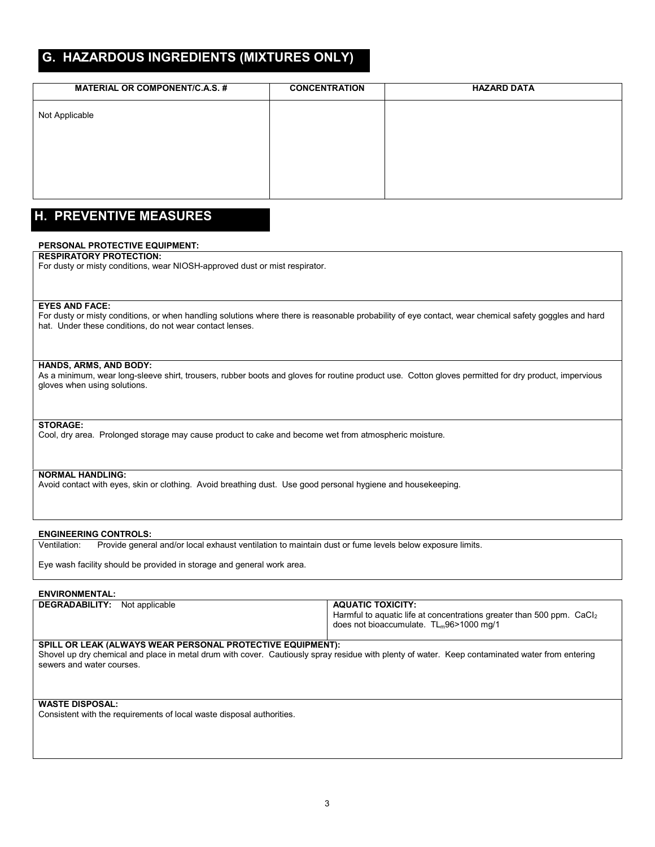## **G. HAZARDOUS INGREDIENTS (MIXTURES ONLY)**

| <b>MATERIAL OR COMPONENT/C.A.S. #</b> | <b>CONCENTRATION</b> | <b>HAZARD DATA</b> |
|---------------------------------------|----------------------|--------------------|
| Not Applicable                        |                      |                    |
|                                       |                      |                    |
|                                       |                      |                    |
|                                       |                      |                    |
|                                       |                      |                    |

## **H. PREVENTIVE MEASURES**

## **PERSONAL PROTECTIVE EQUIPMENT:**

#### **RESPIRATORY PROTECTION:**

For dusty or misty conditions, wear NIOSH-approved dust or mist respirator.

## **EYES AND FACE:**

For dusty or misty conditions, or when handling solutions where there is reasonable probability of eye contact, wear chemical safety goggles and hard hat. Under these conditions, do not wear contact lenses.

#### **HANDS, ARMS, AND BODY:**

As a minimum, wear long-sleeve shirt, trousers, rubber boots and gloves for routine product use. Cotton gloves permitted for dry product, impervious gloves when using solutions.

## **STORAGE:**

Cool, dry area. Prolonged storage may cause product to cake and become wet from atmospheric moisture.

#### **NORMAL HANDLING:**

Avoid contact with eyes, skin or clothing. Avoid breathing dust. Use good personal hygiene and housekeeping.

#### **ENGINEERING CONTROLS:**

Ventilation: Provide general and/or local exhaust ventilation to maintain dust or fume levels below exposure limits.

Eye wash facility should be provided in storage and general work area.

### **ENVIRONMENTAL:**

| <b>DEGRADABILITY:</b> Not applicable                                                                                                                                                                                                              | <b>AQUATIC TOXICITY:</b><br>Harmful to aguatic life at concentrations greater than 500 ppm. CaCl <sub>2</sub><br>does not bioaccumulate. TL <sub>m</sub> 96>1000 mg/1 |
|---------------------------------------------------------------------------------------------------------------------------------------------------------------------------------------------------------------------------------------------------|-----------------------------------------------------------------------------------------------------------------------------------------------------------------------|
| <b>SPILL OR LEAK (ALWAYS WEAR PERSONAL PROTECTIVE EQUIPMENT):</b><br>Shovel up dry chemical and place in metal drum with cover. Cautiously spray residue with plenty of water. Keep contaminated water from entering<br>sewers and water courses. |                                                                                                                                                                       |

## **WASTE DISPOSAL:**

Consistent with the requirements of local waste disposal authorities.